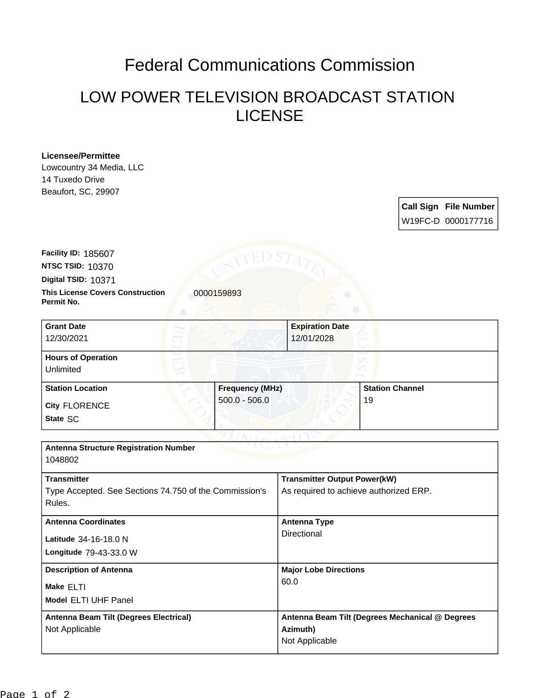## Federal Communications Commission

## LOW POWER TELEVISION BROADCAST STATION LICENSE

## **Licensee/Permittee**

Lowcountry 34 Media, LLC 14 Tuxedo Drive Beaufort, SC, 29907

> **Call Sign File Number** W19FC-D 0000177716

**This License Covers Construction 10000159893 Permit No. Digital TSID:** 10371 **NTSC TSID:** 10370 **Facility ID:** 185607

| <b>Grant Date</b><br>12/30/2021        | 12/01/2028             | <b>Expiration Date</b> |
|----------------------------------------|------------------------|------------------------|
| <b>Hours of Operation</b><br>Unlimited |                        |                        |
| <b>Station Location</b>                | <b>Frequency (MHz)</b> | <b>Station Channel</b> |
| <b>City FLORENCE</b><br>State SC       | $500.0 - 506.0$        | 19                     |

| <b>Antenna Structure Registration Number</b><br>1048802                                |                                                                               |  |  |
|----------------------------------------------------------------------------------------|-------------------------------------------------------------------------------|--|--|
| <b>Transmitter</b><br>Type Accepted. See Sections 74.750 of the Commission's<br>Rules. | <b>Transmitter Output Power(kW)</b><br>As required to achieve authorized ERP. |  |  |
| <b>Antenna Coordinates</b><br>Latitude 34-16-18.0 N                                    | <b>Antenna Type</b><br>Directional                                            |  |  |
| <b>Longitude 79-43-33.0 W</b>                                                          |                                                                               |  |  |
| <b>Description of Antenna</b>                                                          | <b>Major Lobe Directions</b><br>60.0                                          |  |  |
| Make ELTI<br><b>Model ELTI UHF Panel</b>                                               |                                                                               |  |  |
| Antenna Beam Tilt (Degrees Electrical)<br>Not Applicable                               | Antenna Beam Tilt (Degrees Mechanical @ Degrees<br>Azimuth)<br>Not Applicable |  |  |